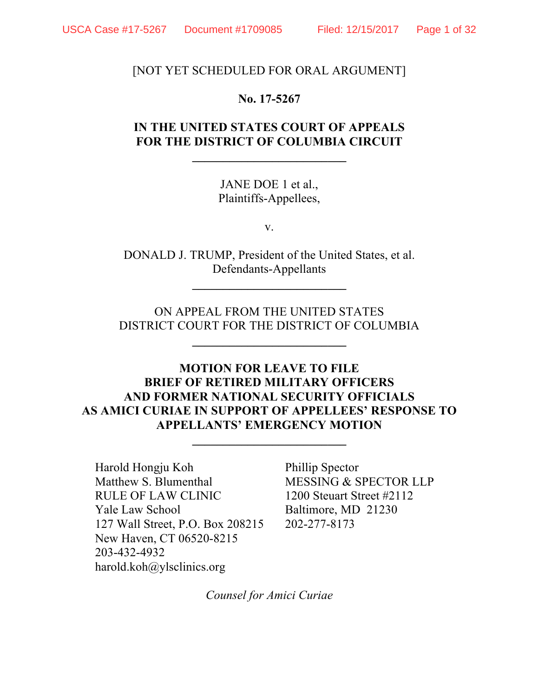[NOT YET SCHEDULED FOR ORAL ARGUMENT]

#### **No. 17-5267**

# **IN THE UNITED STATES COURT OF APPEALS FOR THE DISTRICT OF COLUMBIA CIRCUIT**

**\_\_\_\_\_\_\_\_\_\_\_\_\_\_\_\_\_\_\_\_\_\_\_\_\_**

JANE DOE 1 et al., Plaintiffs-Appellees,

v.

DONALD J. TRUMP, President of the United States, et al. Defendants-Appellants

**\_\_\_\_\_\_\_\_\_\_\_\_\_\_\_\_\_\_\_\_\_\_\_\_\_**

ON APPEAL FROM THE UNITED STATES DISTRICT COURT FOR THE DISTRICT OF COLUMBIA

**\_\_\_\_\_\_\_\_\_\_\_\_\_\_\_\_\_\_\_\_\_\_\_\_\_**

## **MOTION FOR LEAVE TO FILE BRIEF OF RETIRED MILITARY OFFICERS AND FORMER NATIONAL SECURITY OFFICIALS AS AMICI CURIAE IN SUPPORT OF APPELLEES' RESPONSE TO APPELLANTS' EMERGENCY MOTION**

**\_\_\_\_\_\_\_\_\_\_\_\_\_\_\_\_\_\_\_\_\_\_\_\_\_**

Harold Hongju Koh Phillip Spector Matthew S. Blumenthal MESSING & SPECTOR LLP RULE OF LAW CLINIC 1200 Steuart Street #2112 Yale Law School Baltimore, MD 21230 127 Wall Street, P.O. Box 208215 202-277-8173 New Haven, CT 06520-8215 203-432-4932 harold.koh@ylsclinics.org

*Counsel for Amici Curiae*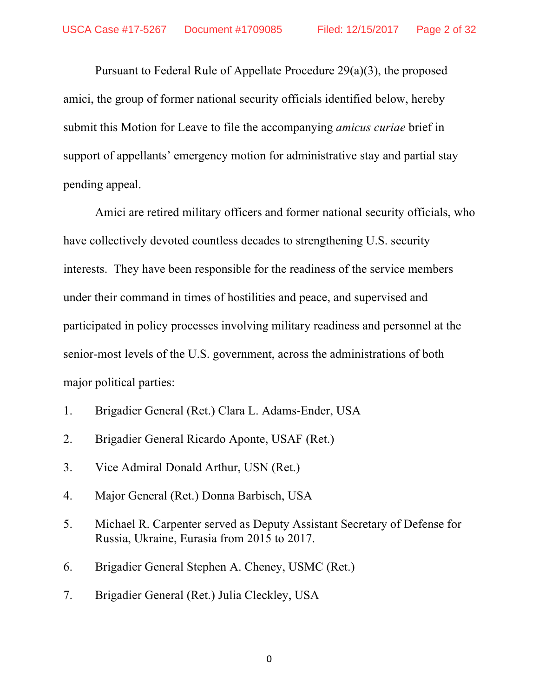Pursuant to Federal Rule of Appellate Procedure 29(a)(3), the proposed amici, the group of former national security officials identified below, hereby submit this Motion for Leave to file the accompanying *amicus curiae* brief in support of appellants' emergency motion for administrative stay and partial stay pending appeal.

Amici are retired military officers and former national security officials, who have collectively devoted countless decades to strengthening U.S. security interests. They have been responsible for the readiness of the service members under their command in times of hostilities and peace, and supervised and participated in policy processes involving military readiness and personnel at the senior-most levels of the U.S. government, across the administrations of both major political parties:

- 1. Brigadier General (Ret.) Clara L. Adams-Ender, USA
- 2. Brigadier General Ricardo Aponte, USAF (Ret.)
- 3. Vice Admiral Donald Arthur, USN (Ret.)
- 4. Major General (Ret.) Donna Barbisch, USA
- 5. Michael R. Carpenter served as Deputy Assistant Secretary of Defense for Russia, Ukraine, Eurasia from 2015 to 2017.
- 6. Brigadier General Stephen A. Cheney, USMC (Ret.)
- 7. Brigadier General (Ret.) Julia Cleckley, USA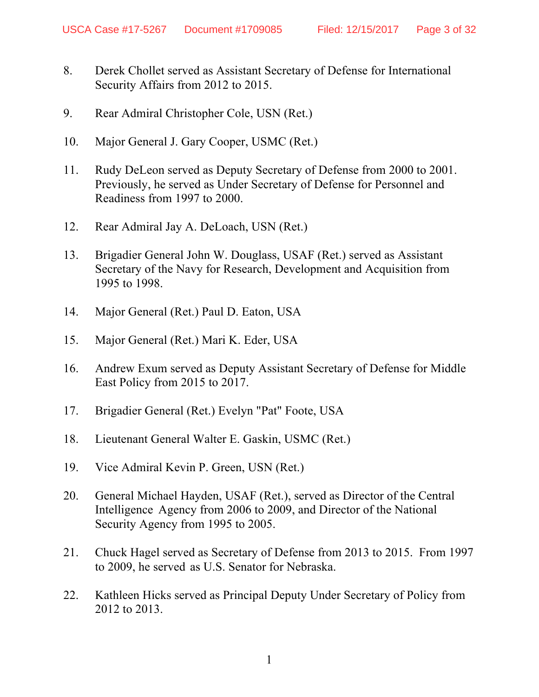- 8. Derek Chollet served as Assistant Secretary of Defense for International Security Affairs from 2012 to 2015.
- 9. Rear Admiral Christopher Cole, USN (Ret.)
- 10. Major General J. Gary Cooper, USMC (Ret.)
- 11. Rudy DeLeon served as Deputy Secretary of Defense from 2000 to 2001. Previously, he served as Under Secretary of Defense for Personnel and Readiness from 1997 to 2000.
- 12. Rear Admiral Jay A. DeLoach, USN (Ret.)
- 13. Brigadier General John W. Douglass, USAF (Ret.) served as Assistant Secretary of the Navy for Research, Development and Acquisition from 1995 to 1998.
- 14. Major General (Ret.) Paul D. Eaton, USA
- 15. Major General (Ret.) Mari K. Eder, USA
- 16. Andrew Exum served as Deputy Assistant Secretary of Defense for Middle East Policy from 2015 to 2017.
- 17. Brigadier General (Ret.) Evelyn "Pat" Foote, USA
- 18. Lieutenant General Walter E. Gaskin, USMC (Ret.)
- 19. Vice Admiral Kevin P. Green, USN (Ret.)
- 20. General Michael Hayden, USAF (Ret.), served as Director of the Central Intelligence Agency from 2006 to 2009, and Director of the National Security Agency from 1995 to 2005.
- 21. Chuck Hagel served as Secretary of Defense from 2013 to 2015. From 1997 to 2009, he served as U.S. Senator for Nebraska.
- 22. Kathleen Hicks served as Principal Deputy Under Secretary of Policy from 2012 to 2013.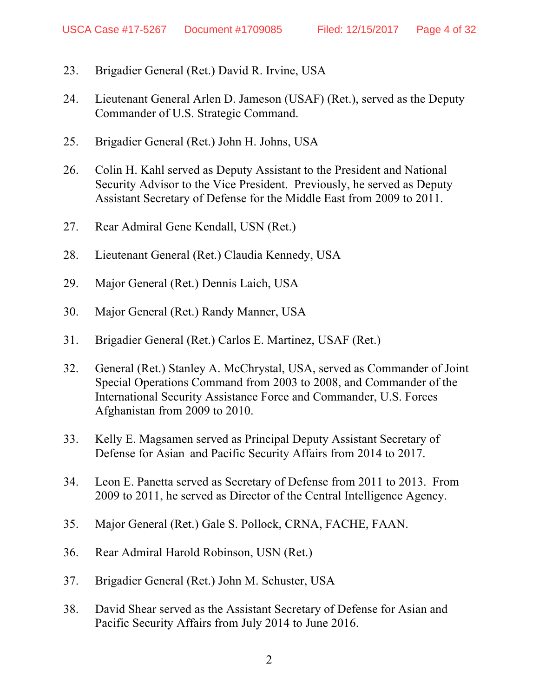- 23. Brigadier General (Ret.) David R. Irvine, USA
- 24. Lieutenant General Arlen D. Jameson (USAF) (Ret.), served as the Deputy Commander of U.S. Strategic Command.
- 25. Brigadier General (Ret.) John H. Johns, USA
- 26. Colin H. Kahl served as Deputy Assistant to the President and National Security Advisor to the Vice President. Previously, he served as Deputy Assistant Secretary of Defense for the Middle East from 2009 to 2011.
- 27. Rear Admiral Gene Kendall, USN (Ret.)
- 28. Lieutenant General (Ret.) Claudia Kennedy, USA
- 29. Major General (Ret.) Dennis Laich, USA
- 30. Major General (Ret.) Randy Manner, USA
- 31. Brigadier General (Ret.) Carlos E. Martinez, USAF (Ret.)
- 32. General (Ret.) Stanley A. McChrystal, USA, served as Commander of Joint Special Operations Command from 2003 to 2008, and Commander of the International Security Assistance Force and Commander, U.S. Forces Afghanistan from 2009 to 2010.
- 33. Kelly E. Magsamen served as Principal Deputy Assistant Secretary of Defense for Asian and Pacific Security Affairs from 2014 to 2017.
- 34. Leon E. Panetta served as Secretary of Defense from 2011 to 2013. From 2009 to 2011, he served as Director of the Central Intelligence Agency.
- 35. Major General (Ret.) Gale S. Pollock, CRNA, FACHE, FAAN.
- 36. Rear Admiral Harold Robinson, USN (Ret.)
- 37. Brigadier General (Ret.) John M. Schuster, USA
- 38. David Shear served as the Assistant Secretary of Defense for Asian and Pacific Security Affairs from July 2014 to June 2016.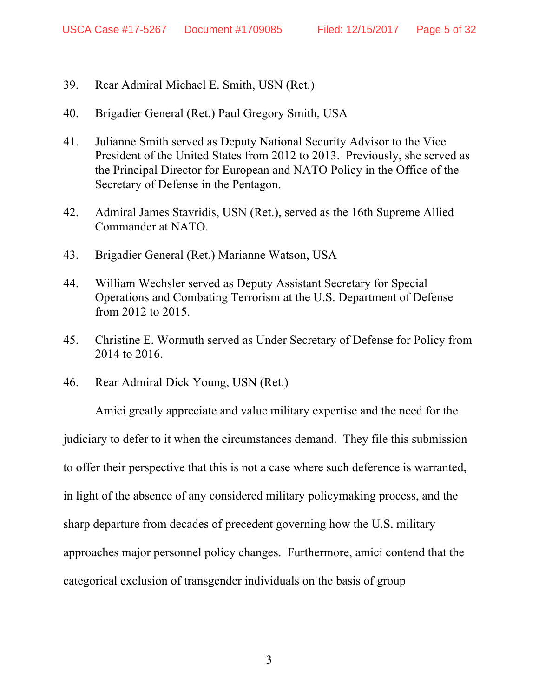- 39. Rear Admiral Michael E. Smith, USN (Ret.)
- 40. Brigadier General (Ret.) Paul Gregory Smith, USA
- 41. Julianne Smith served as Deputy National Security Advisor to the Vice President of the United States from 2012 to 2013. Previously, she served as the Principal Director for European and NATO Policy in the Office of the Secretary of Defense in the Pentagon.
- 42. Admiral James Stavridis, USN (Ret.), served as the 16th Supreme Allied Commander at NATO.
- 43. Brigadier General (Ret.) Marianne Watson, USA
- 44. William Wechsler served as Deputy Assistant Secretary for Special Operations and Combating Terrorism at the U.S. Department of Defense from 2012 to 2015.
- 45. Christine E. Wormuth served as Under Secretary of Defense for Policy from 2014 to 2016.
- 46. Rear Admiral Dick Young, USN (Ret.)

Amici greatly appreciate and value military expertise and the need for the judiciary to defer to it when the circumstances demand. They file this submission to offer their perspective that this is not a case where such deference is warranted, in light of the absence of any considered military policymaking process, and the sharp departure from decades of precedent governing how the U.S. military approaches major personnel policy changes. Furthermore, amici contend that the categorical exclusion of transgender individuals on the basis of group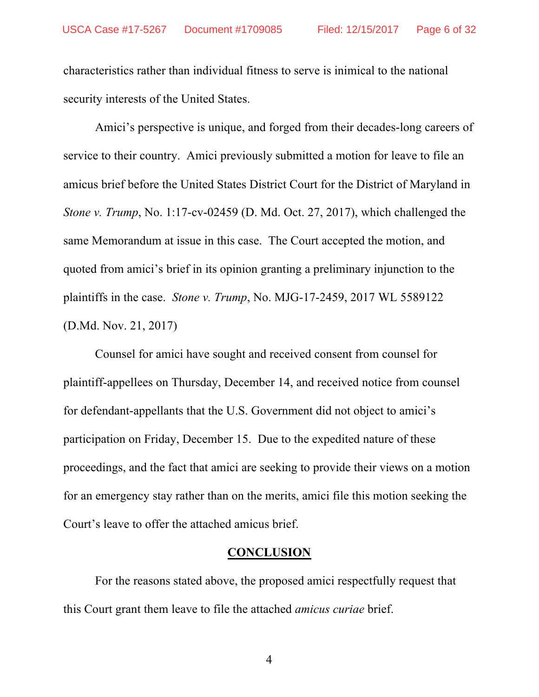characteristics rather than individual fitness to serve is inimical to the national security interests of the United States.

Amici's perspective is unique, and forged from their decades-long careers of service to their country. Amici previously submitted a motion for leave to file an amicus brief before the United States District Court for the District of Maryland in *Stone v. Trump*, No. 1:17-cv-02459 (D. Md. Oct. 27, 2017), which challenged the same Memorandum at issue in this case. The Court accepted the motion, and quoted from amici's brief in its opinion granting a preliminary injunction to the plaintiffs in the case. *Stone v. Trump*, No. MJG-17-2459, 2017 WL 5589122 (D.Md. Nov. 21, 2017)

Counsel for amici have sought and received consent from counsel for plaintiff-appellees on Thursday, December 14, and received notice from counsel for defendant-appellants that the U.S. Government did not object to amici's participation on Friday, December 15. Due to the expedited nature of these proceedings, and the fact that amici are seeking to provide their views on a motion for an emergency stay rather than on the merits, amici file this motion seeking the Court's leave to offer the attached amicus brief.

#### **CONCLUSION**

For the reasons stated above, the proposed amici respectfully request that this Court grant them leave to file the attached *amicus curiae* brief.

4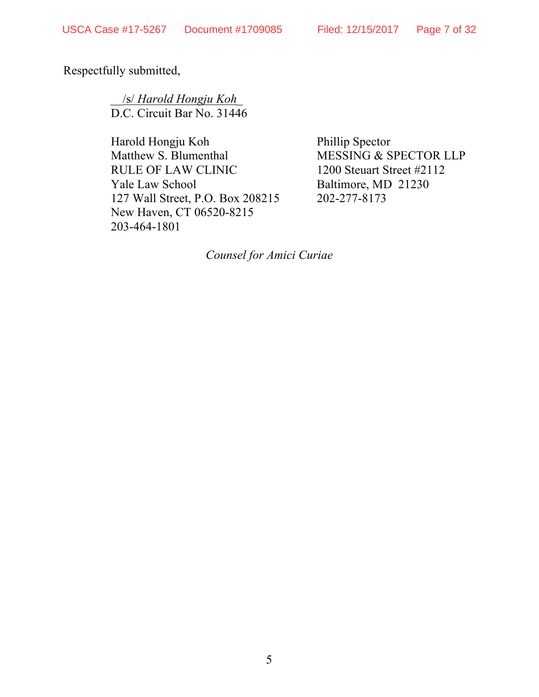Respectfully submitted,

 \_\_/s/ *Harold Hongju Koh\_* D.C. Circuit Bar No. 31446

Harold Hongju Koh Phillip Spector Matthew S. Blumenthal MESSING & SPECTOR LLP RULE OF LAW CLINIC 1200 Steuart Street #2112 Yale Law School Baltimore, MD 21230 127 Wall Street, P.O. Box 208215 202-277-8173 New Haven, CT 06520-8215 203-464-1801

*Counsel for Amici Curiae*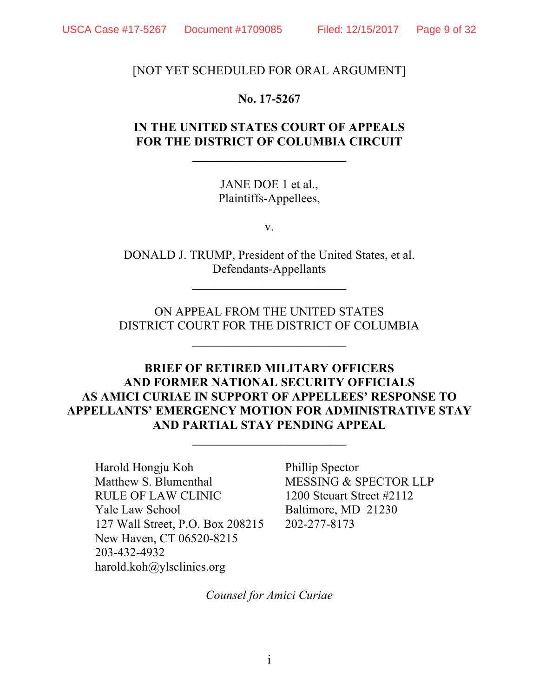[NOT YET SCHEDULED FOR ORAL ARGUMENT]

#### **No. 17-5267**

# **IN THE UNITED STATES COURT OF APPEALS FOR THE DISTRICT OF COLUMBIA CIRCUIT**

**\_\_\_\_\_\_\_\_\_\_\_\_\_\_\_\_\_\_\_\_\_\_\_\_\_**

JANE DOE 1 et al., Plaintiffs-Appellees,

v.

DONALD J. TRUMP, President of the United States, et al. Defendants-Appellants

**\_\_\_\_\_\_\_\_\_\_\_\_\_\_\_\_\_\_\_\_\_\_\_\_\_**

ON APPEAL FROM THE UNITED STATES DISTRICT COURT FOR THE DISTRICT OF COLUMBIA

**\_\_\_\_\_\_\_\_\_\_\_\_\_\_\_\_\_\_\_\_\_\_\_\_\_**

# **BRIEF OF RETIRED MILITARY OFFICERS AND FORMER NATIONAL SECURITY OFFICIALS AS AMICI CURIAE IN SUPPORT OF APPELLEES' RESPONSE TO APPELLANTS' EMERGENCY MOTION FOR ADMINISTRATIVE STAY AND PARTIAL STAY PENDING APPEAL**

**\_\_\_\_\_\_\_\_\_\_\_\_\_\_\_\_\_\_\_\_\_\_\_\_\_**

Harold Hongju Koh Phillip Spector Matthew S. Blumenthal MESSING & SPECTOR LLP RULE OF LAW CLINIC 1200 Steuart Street #2112 Yale Law School Baltimore, MD 21230 127 Wall Street, P.O. Box 208215 202-277-8173 New Haven, CT 06520-8215 203-432-4932 harold.koh@ylsclinics.org

*Counsel for Amici Curiae*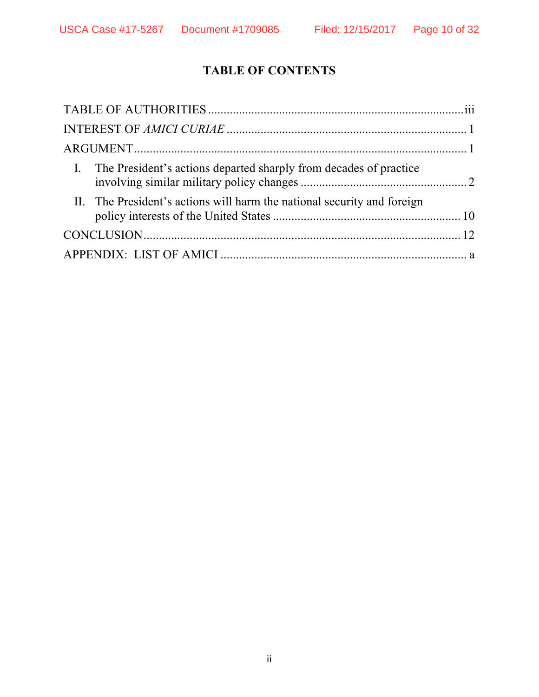# **TABLE OF CONTENTS**

| I. The President's actions departed sharply from decades of practice    |  |
|-------------------------------------------------------------------------|--|
| II. The President's actions will harm the national security and foreign |  |
|                                                                         |  |
|                                                                         |  |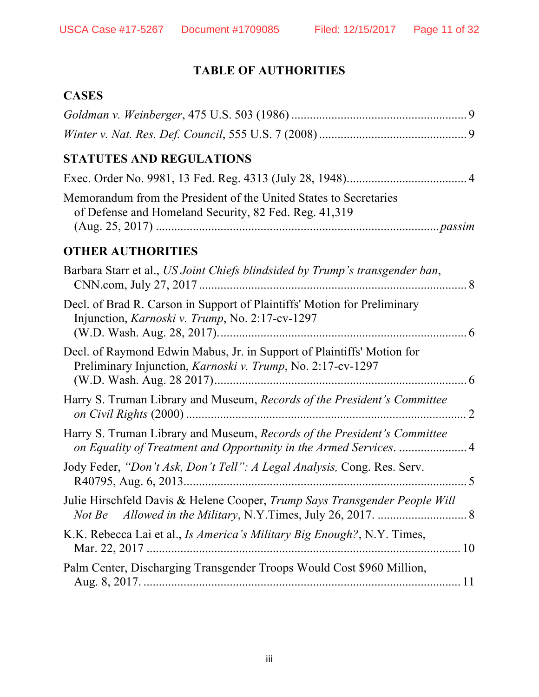# **TABLE OF AUTHORITIES**

# **CASES**

| <b>STATUTES AND REGULATIONS</b>                                                                                                       |
|---------------------------------------------------------------------------------------------------------------------------------------|
|                                                                                                                                       |
| Memorandum from the President of the United States to Secretaries<br>of Defense and Homeland Security, 82 Fed. Reg. 41,319            |
| <b>OTHER AUTHORITIES</b>                                                                                                              |
| Barbara Starr et al., US Joint Chiefs blindsided by Trump's transgender ban,                                                          |
| Decl. of Brad R. Carson in Support of Plaintiffs' Motion for Preliminary<br>Injunction, Karnoski v. Trump, No. 2:17-cv-1297           |
| Decl. of Raymond Edwin Mabus, Jr. in Support of Plaintiffs' Motion for<br>Preliminary Injunction, Karnoski v. Trump, No. 2:17-cv-1297 |
| Harry S. Truman Library and Museum, Records of the President's Committee                                                              |
| Harry S. Truman Library and Museum, Records of the President's Committee                                                              |
| Jody Feder, "Don't Ask, Don't Tell": A Legal Analysis, Cong. Res. Serv.                                                               |
| Julie Hirschfeld Davis & Helene Cooper, Trump Says Transgender People Will<br>Not Be                                                  |
| K.K. Rebecca Lai et al., Is America's Military Big Enough?, N.Y. Times,                                                               |
| Palm Center, Discharging Transgender Troops Would Cost \$960 Million,                                                                 |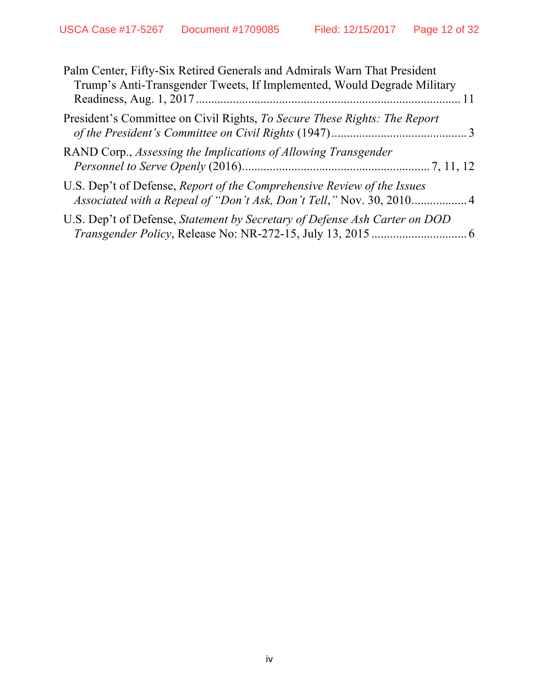| Palm Center, Fifty-Six Retired Generals and Admirals Warn That President<br>Trump's Anti-Transgender Tweets, If Implemented, Would Degrade Military |  |
|-----------------------------------------------------------------------------------------------------------------------------------------------------|--|
| President's Committee on Civil Rights, To Secure These Rights: The Report                                                                           |  |
| RAND Corp., Assessing the Implications of Allowing Transgender                                                                                      |  |
| U.S. Dep't of Defense, Report of the Comprehensive Review of the Issues                                                                             |  |
| U.S. Dep't of Defense, Statement by Secretary of Defense Ash Carter on DOD                                                                          |  |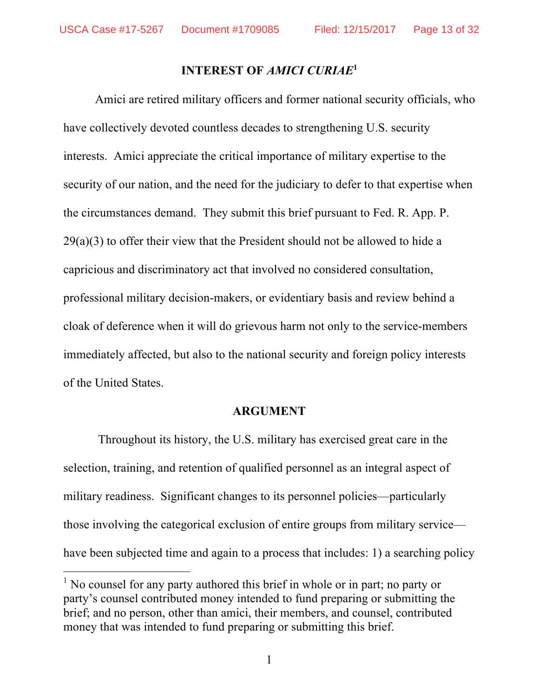#### **INTEREST OF** *AMICI CURIAE***<sup>1</sup>**

Amici are retired military officers and former national security officials, who have collectively devoted countless decades to strengthening U.S. security interests. Amici appreciate the critical importance of military expertise to the security of our nation, and the need for the judiciary to defer to that expertise when the circumstances demand. They submit this brief pursuant to Fed. R. App. P. 29(a)(3) to offer their view that the President should not be allowed to hide a capricious and discriminatory act that involved no considered consultation, professional military decision-makers, or evidentiary basis and review behind a cloak of deference when it will do grievous harm not only to the service-members immediately affected, but also to the national security and foreign policy interests of the United States.

#### **ARGUMENT**

Throughout its history, the U.S. military has exercised great care in the selection, training, and retention of qualified personnel as an integral aspect of military readiness. Significant changes to its personnel policies—particularly those involving the categorical exclusion of entire groups from military service have been subjected time and again to a process that includes: 1) a searching policy

<sup>&</sup>lt;sup>1</sup> No counsel for any party authored this brief in whole or in part; no party or party's counsel contributed money intended to fund preparing or submitting the brief; and no person, other than amici, their members, and counsel, contributed money that was intended to fund preparing or submitting this brief.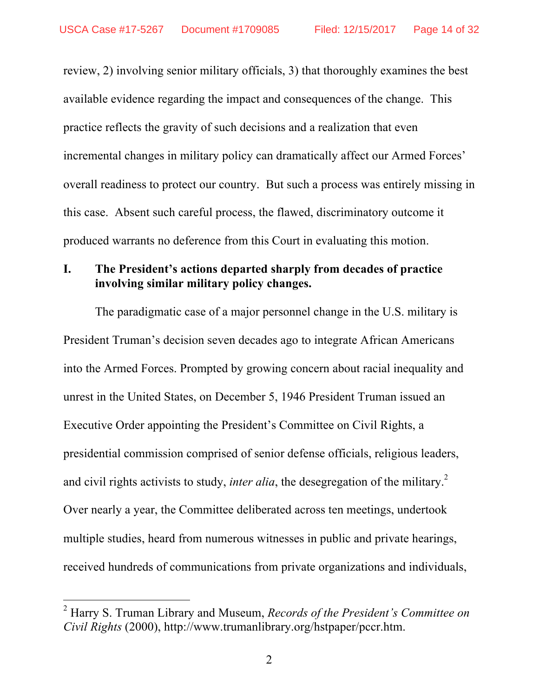review, 2) involving senior military officials, 3) that thoroughly examines the best available evidence regarding the impact and consequences of the change. This practice reflects the gravity of such decisions and a realization that even incremental changes in military policy can dramatically affect our Armed Forces' overall readiness to protect our country. But such a process was entirely missing in this case. Absent such careful process, the flawed, discriminatory outcome it produced warrants no deference from this Court in evaluating this motion.

### **I. The President's actions departed sharply from decades of practice involving similar military policy changes.**

The paradigmatic case of a major personnel change in the U.S. military is President Truman's decision seven decades ago to integrate African Americans into the Armed Forces. Prompted by growing concern about racial inequality and unrest in the United States, on December 5, 1946 President Truman issued an Executive Order appointing the President's Committee on Civil Rights, a presidential commission comprised of senior defense officials, religious leaders, and civil rights activists to study, *inter alia*, the desegregation of the military.<sup>2</sup> Over nearly a year, the Committee deliberated across ten meetings, undertook multiple studies, heard from numerous witnesses in public and private hearings, received hundreds of communications from private organizations and individuals,

 <sup>2</sup> Harry S. Truman Library and Museum, *Records of the President's Committee on Civil Rights* (2000), http://www.trumanlibrary.org/hstpaper/pccr.htm.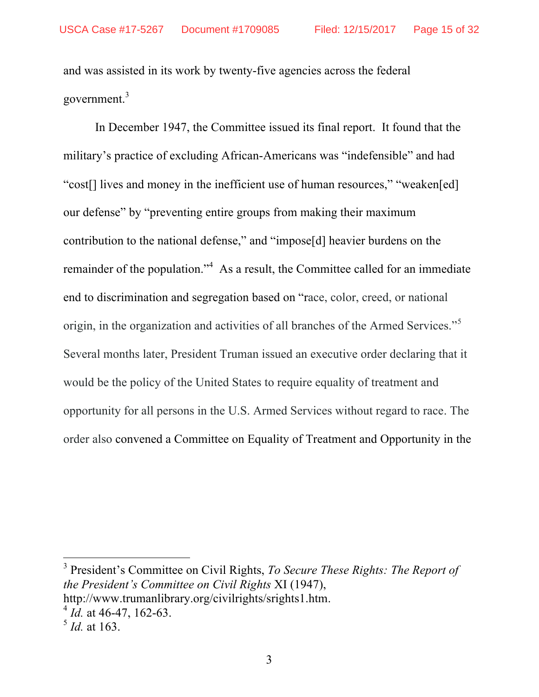and was assisted in its work by twenty-five agencies across the federal government.3

In December 1947, the Committee issued its final report. It found that the military's practice of excluding African-Americans was "indefensible" and had "cost[] lives and money in the inefficient use of human resources," "weaken[ed] our defense" by "preventing entire groups from making their maximum contribution to the national defense," and "impose[d] heavier burdens on the remainder of the population.<sup> $4$ </sup> As a result, the Committee called for an immediate end to discrimination and segregation based on "race, color, creed, or national origin, in the organization and activities of all branches of the Armed Services."<sup>5</sup> Several months later, President Truman issued an executive order declaring that it would be the policy of the United States to require equality of treatment and opportunity for all persons in the U.S. Armed Services without regard to race. The order also convened a Committee on Equality of Treatment and Opportunity in the

 3 President's Committee on Civil Rights, *To Secure These Rights: The Report of the President's Committee on Civil Rights* XI (1947), http://www.trumanlibrary.org/civilrights/srights1.htm. <sup>4</sup> *Id.* at 46-47, 162-63.

<sup>5</sup> *Id.* at 163.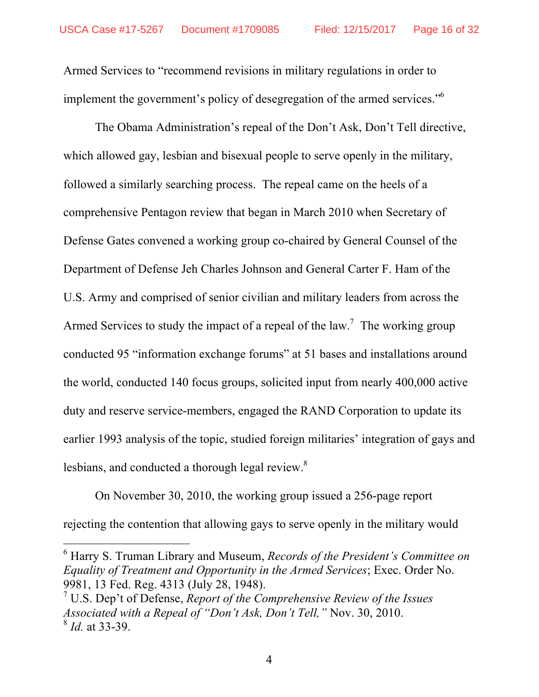Armed Services to "recommend revisions in military regulations in order to implement the government's policy of desegregation of the armed services."<sup>6</sup>

The Obama Administration's repeal of the Don't Ask, Don't Tell directive, which allowed gay, lesbian and bisexual people to serve openly in the military, followed a similarly searching process. The repeal came on the heels of a comprehensive Pentagon review that began in March 2010 when Secretary of Defense Gates convened a working group co-chaired by General Counsel of the Department of Defense Jeh Charles Johnson and General Carter F. Ham of the U.S. Army and comprised of senior civilian and military leaders from across the Armed Services to study the impact of a repeal of the law.<sup>7</sup> The working group conducted 95 "information exchange forums" at 51 bases and installations around the world, conducted 140 focus groups, solicited input from nearly 400,000 active duty and reserve service-members, engaged the RAND Corporation to update its earlier 1993 analysis of the topic, studied foreign militaries' integration of gays and lesbians, and conducted a thorough legal review.<sup>8</sup>

On November 30, 2010, the working group issued a 256-page report rejecting the contention that allowing gays to serve openly in the military would

 6 Harry S. Truman Library and Museum, *Records of the President's Committee on Equality of Treatment and Opportunity in the Armed Services*; Exec. Order No. 9981, 13 Fed. Reg. 4313 (July 28, 1948).

<sup>7</sup> U.S. Dep't of Defense, *Report of the Comprehensive Review of the Issues Associated with a Repeal of "Don't Ask, Don't Tell,"* Nov. 30, 2010. <sup>8</sup> *Id.* at 33-39.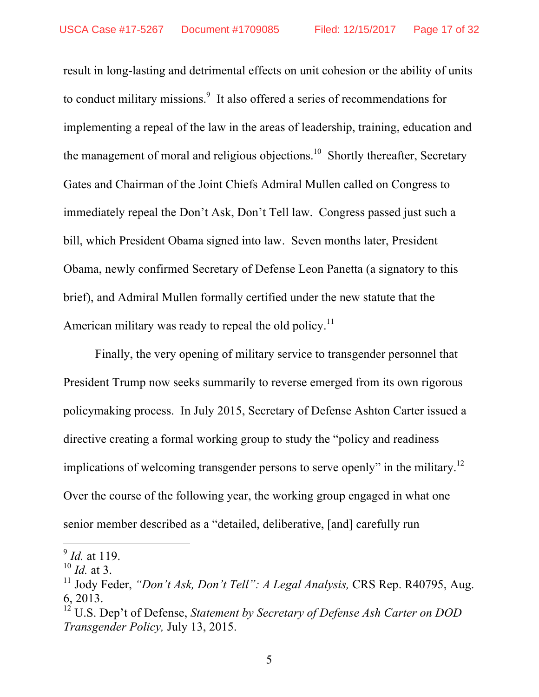result in long-lasting and detrimental effects on unit cohesion or the ability of units to conduct military missions.<sup>9</sup> It also offered a series of recommendations for implementing a repeal of the law in the areas of leadership, training, education and the management of moral and religious objections.<sup>10</sup> Shortly thereafter, Secretary Gates and Chairman of the Joint Chiefs Admiral Mullen called on Congress to immediately repeal the Don't Ask, Don't Tell law. Congress passed just such a bill, which President Obama signed into law. Seven months later, President Obama, newly confirmed Secretary of Defense Leon Panetta (a signatory to this brief), and Admiral Mullen formally certified under the new statute that the American military was ready to repeal the old policy.<sup>11</sup>

Finally, the very opening of military service to transgender personnel that President Trump now seeks summarily to reverse emerged from its own rigorous policymaking process. In July 2015, Secretary of Defense Ashton Carter issued a directive creating a formal working group to study the "policy and readiness implications of welcoming transgender persons to serve openly" in the military.<sup>12</sup> Over the course of the following year, the working group engaged in what one senior member described as a "detailed, deliberative, [and] carefully run

 $\int_{10}^{9}$  *Id.* at 119.

<sup>&</sup>lt;sup>11</sup> Jody Feder, *"Don't Ask, Don't Tell": A Legal Analysis,* CRS Rep. R40795, Aug. 6, 2013.

<sup>12</sup> U.S. Dep't of Defense, *Statement by Secretary of Defense Ash Carter on DOD Transgender Policy,* July 13, 2015.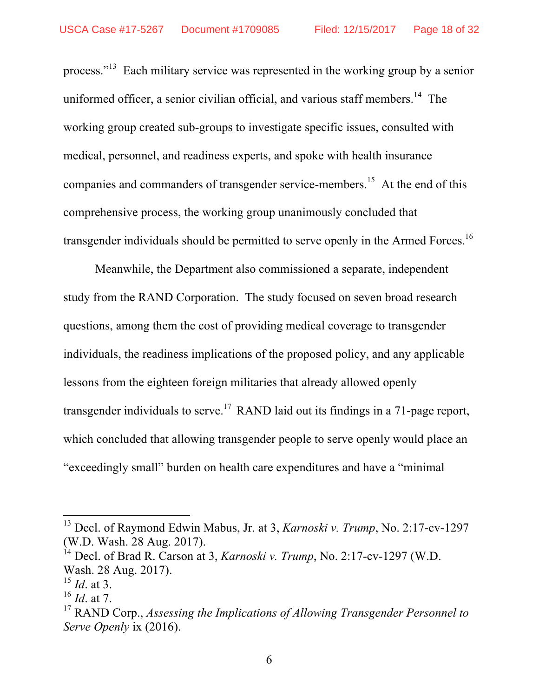process."13 Each military service was represented in the working group by a senior uniformed officer, a senior civilian official, and various staff members.<sup>14</sup> The working group created sub-groups to investigate specific issues, consulted with medical, personnel, and readiness experts, and spoke with health insurance companies and commanders of transgender service-members.<sup>15</sup> At the end of this comprehensive process, the working group unanimously concluded that transgender individuals should be permitted to serve openly in the Armed Forces.<sup>16</sup>

Meanwhile, the Department also commissioned a separate, independent study from the RAND Corporation. The study focused on seven broad research questions, among them the cost of providing medical coverage to transgender individuals, the readiness implications of the proposed policy, and any applicable lessons from the eighteen foreign militaries that already allowed openly transgender individuals to serve.<sup>17</sup> RAND laid out its findings in a 71-page report, which concluded that allowing transgender people to serve openly would place an "exceedingly small" burden on health care expenditures and have a "minimal

 <sup>13</sup> Decl. of Raymond Edwin Mabus, Jr. at 3, *Karnoski v. Trump*, No. 2:17-cv-1297 (W.D. Wash. 28 Aug. 2017).

<sup>14</sup> Decl. of Brad R. Carson at 3, *Karnoski v. Trump*, No. 2:17-cv-1297 (W.D. Wash. 28 Aug. 2017).

<sup>15</sup> *Id*. at 3.

<sup>16</sup> *Id*. at 7.

<sup>17</sup> RAND Corp., *Assessing the Implications of Allowing Transgender Personnel to Serve Openly* ix (2016).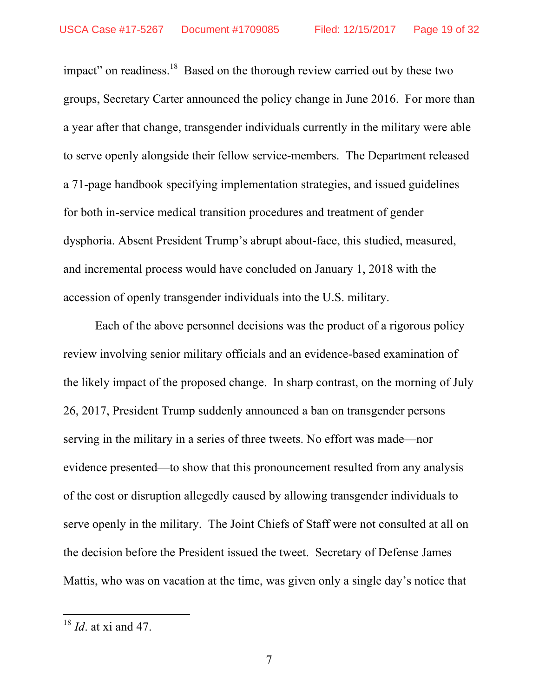impact" on readiness.<sup>18</sup> Based on the thorough review carried out by these two groups, Secretary Carter announced the policy change in June 2016. For more than a year after that change, transgender individuals currently in the military were able to serve openly alongside their fellow service-members. The Department released a 71-page handbook specifying implementation strategies, and issued guidelines for both in-service medical transition procedures and treatment of gender dysphoria. Absent President Trump's abrupt about-face, this studied, measured, and incremental process would have concluded on January 1, 2018 with the accession of openly transgender individuals into the U.S. military.

Each of the above personnel decisions was the product of a rigorous policy review involving senior military officials and an evidence-based examination of the likely impact of the proposed change. In sharp contrast, on the morning of July 26, 2017, President Trump suddenly announced a ban on transgender persons serving in the military in a series of three tweets. No effort was made—nor evidence presented—to show that this pronouncement resulted from any analysis of the cost or disruption allegedly caused by allowing transgender individuals to serve openly in the military. The Joint Chiefs of Staff were not consulted at all on the decision before the President issued the tweet. Secretary of Defense James Mattis, who was on vacation at the time, was given only a single day's notice that

 <sup>18</sup> *Id*. at xi and 47.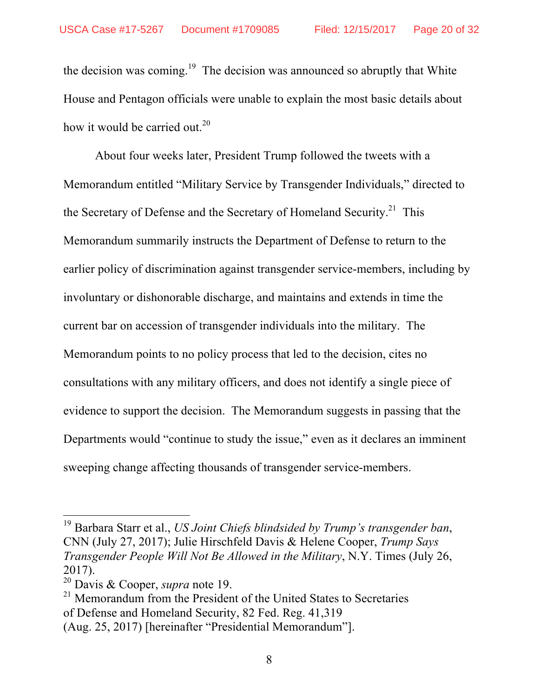the decision was coming.<sup>19</sup> The decision was announced so abruptly that White House and Pentagon officials were unable to explain the most basic details about how it would be carried out.<sup>20</sup>

About four weeks later, President Trump followed the tweets with a Memorandum entitled "Military Service by Transgender Individuals," directed to the Secretary of Defense and the Secretary of Homeland Security.<sup>21</sup> This Memorandum summarily instructs the Department of Defense to return to the earlier policy of discrimination against transgender service-members, including by involuntary or dishonorable discharge, and maintains and extends in time the current bar on accession of transgender individuals into the military. The Memorandum points to no policy process that led to the decision, cites no consultations with any military officers, and does not identify a single piece of evidence to support the decision. The Memorandum suggests in passing that the Departments would "continue to study the issue," even as it declares an imminent sweeping change affecting thousands of transgender service-members.

 <sup>19</sup> Barbara Starr et al., *US Joint Chiefs blindsided by Trump's transgender ban*, CNN (July 27, 2017); Julie Hirschfeld Davis & Helene Cooper, *Trump Says Transgender People Will Not Be Allowed in the Military*, N.Y. Times (July 26, 2017).<br><sup>20</sup> Davis & Cooper, *supra* note 19.

<sup>&</sup>lt;sup>21</sup> Memorandum from the President of the United States to Secretaries of Defense and Homeland Security, 82 Fed. Reg. 41,319

<sup>(</sup>Aug. 25, 2017) [hereinafter "Presidential Memorandum"].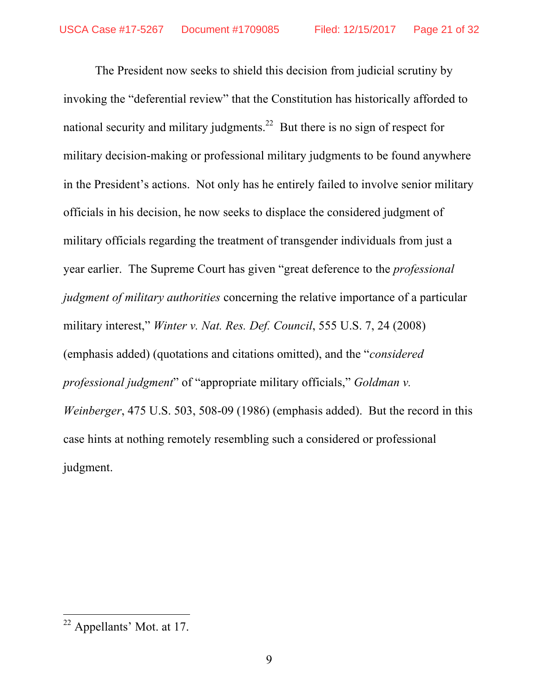The President now seeks to shield this decision from judicial scrutiny by invoking the "deferential review" that the Constitution has historically afforded to national security and military judgments.<sup>22</sup> But there is no sign of respect for military decision-making or professional military judgments to be found anywhere in the President's actions. Not only has he entirely failed to involve senior military officials in his decision, he now seeks to displace the considered judgment of military officials regarding the treatment of transgender individuals from just a year earlier. The Supreme Court has given "great deference to the *professional judgment of military authorities* concerning the relative importance of a particular military interest," *Winter v. Nat. Res. Def. Council*, 555 U.S. 7, 24 (2008) (emphasis added) (quotations and citations omitted), and the "*considered professional judgment*" of "appropriate military officials," *Goldman v. Weinberger*, 475 U.S. 503, 508-09 (1986) (emphasis added). But the record in this case hints at nothing remotely resembling such a considered or professional judgment.

 <sup>22</sup> Appellants' Mot. at 17.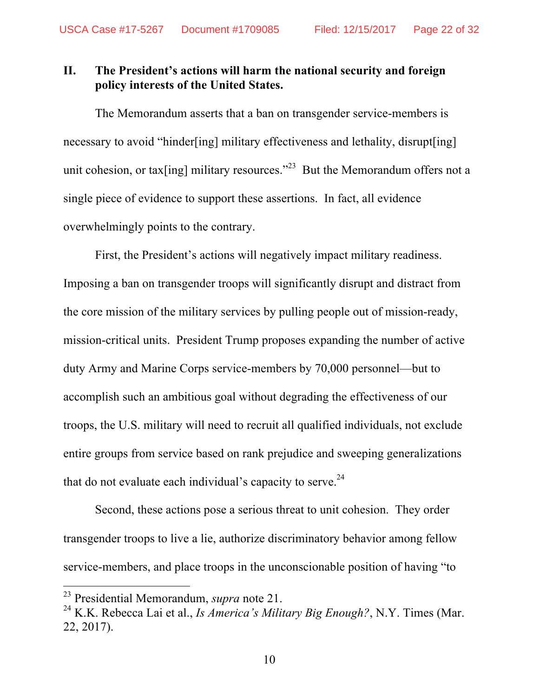### **II. The President's actions will harm the national security and foreign policy interests of the United States.**

The Memorandum asserts that a ban on transgender service-members is necessary to avoid "hinder[ing] military effectiveness and lethality, disrupt[ing] unit cohesion, or tax [ing] military resources.<sup>323</sup> But the Memorandum offers not a single piece of evidence to support these assertions. In fact, all evidence overwhelmingly points to the contrary.

First, the President's actions will negatively impact military readiness. Imposing a ban on transgender troops will significantly disrupt and distract from the core mission of the military services by pulling people out of mission-ready, mission-critical units. President Trump proposes expanding the number of active duty Army and Marine Corps service-members by 70,000 personnel—but to accomplish such an ambitious goal without degrading the effectiveness of our troops, the U.S. military will need to recruit all qualified individuals, not exclude entire groups from service based on rank prejudice and sweeping generalizations that do not evaluate each individual's capacity to serve. $24$ 

Second, these actions pose a serious threat to unit cohesion. They order transgender troops to live a lie, authorize discriminatory behavior among fellow service-members, and place troops in the unconscionable position of having "to

 <sup>23</sup> Presidential Memorandum, *supra* note 21.

<sup>24</sup> K.K. Rebecca Lai et al., *Is America's Military Big Enough?*, N.Y. Times (Mar. 22, 2017).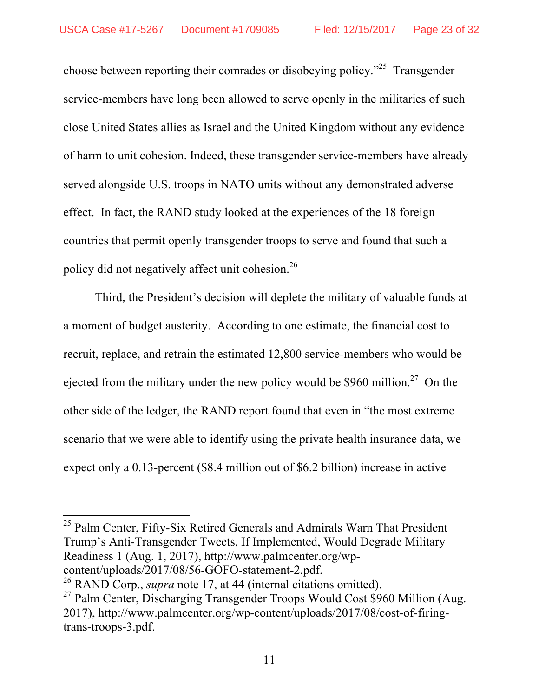choose between reporting their comrades or disobeying policy."25 Transgender service-members have long been allowed to serve openly in the militaries of such close United States allies as Israel and the United Kingdom without any evidence of harm to unit cohesion. Indeed, these transgender service-members have already served alongside U.S. troops in NATO units without any demonstrated adverse effect. In fact, the RAND study looked at the experiences of the 18 foreign countries that permit openly transgender troops to serve and found that such a policy did not negatively affect unit cohesion.<sup>26</sup>

Third, the President's decision will deplete the military of valuable funds at a moment of budget austerity. According to one estimate, the financial cost to recruit, replace, and retrain the estimated 12,800 service-members who would be ejected from the military under the new policy would be \$960 million.<sup>27</sup> On the other side of the ledger, the RAND report found that even in "the most extreme scenario that we were able to identify using the private health insurance data, we expect only a 0.13-percent (\$8.4 million out of \$6.2 billion) increase in active

<sup>25</sup> Palm Center, Fifty-Six Retired Generals and Admirals Warn That President Trump's Anti-Transgender Tweets, If Implemented, Would Degrade Military Readiness 1 (Aug. 1, 2017), http://www.palmcenter.org/wp-<br>content/uploads/2017/08/56-GOFO-statement-2.pdf.

<sup>&</sup>lt;sup>26</sup> RAND Corp., *supra* note 17, at 44 (internal citations omitted).

<sup>&</sup>lt;sup>27</sup> Palm Center, Discharging Transgender Troops Would Cost \$960 Million (Aug. 2017), http://www.palmcenter.org/wp-content/uploads/2017/08/cost-of-firingtrans-troops-3.pdf.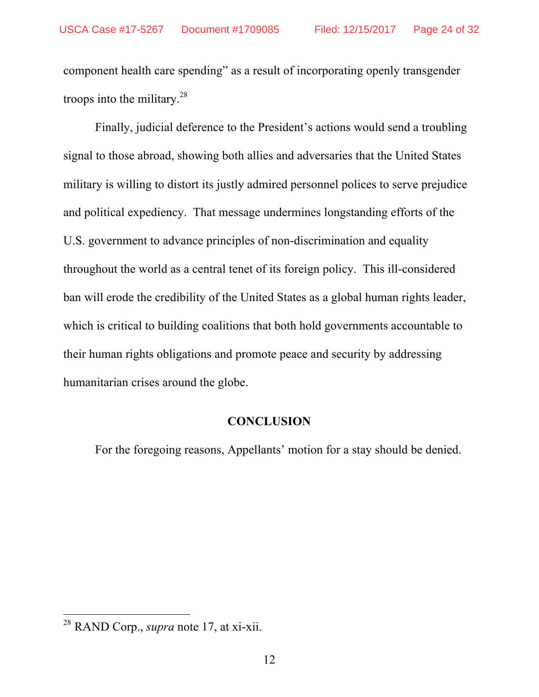component health care spending" as a result of incorporating openly transgender troops into the military. $28$ 

Finally, judicial deference to the President's actions would send a troubling signal to those abroad, showing both allies and adversaries that the United States military is willing to distort its justly admired personnel polices to serve prejudice and political expediency. That message undermines longstanding efforts of the U.S. government to advance principles of non-discrimination and equality throughout the world as a central tenet of its foreign policy. This ill-considered ban will erode the credibility of the United States as a global human rights leader, which is critical to building coalitions that both hold governments accountable to their human rights obligations and promote peace and security by addressing humanitarian crises around the globe.

#### **CONCLUSION**

For the foregoing reasons, Appellants' motion for a stay should be denied.

 <sup>28</sup> RAND Corp., *supra* note 17, at xi-xii.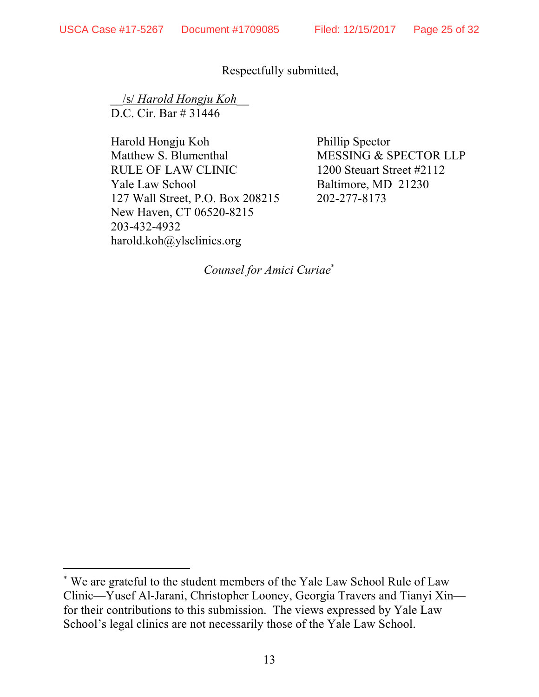$\overline{a}$ 

### Respectfully submitted,

 \_\_/s/ *Harold Hongju Koh*\_\_ D.C. Cir. Bar # 31446

Harold Hongju Koh Phillip Spector Matthew S. Blumenthal MESSING & SPECTOR LLP RULE OF LAW CLINIC 1200 Steuart Street #2112 Yale Law School Baltimore, MD 21230 127 Wall Street, P.O. Box 208215 202-277-8173 New Haven, CT 06520-8215 203-432-4932 harold.koh@ylsclinics.org

*Counsel for Amici Curiae*\*

<sup>\*</sup> We are grateful to the student members of the Yale Law School Rule of Law Clinic—Yusef Al-Jarani, Christopher Looney, Georgia Travers and Tianyi Xin for their contributions to this submission. The views expressed by Yale Law School's legal clinics are not necessarily those of the Yale Law School.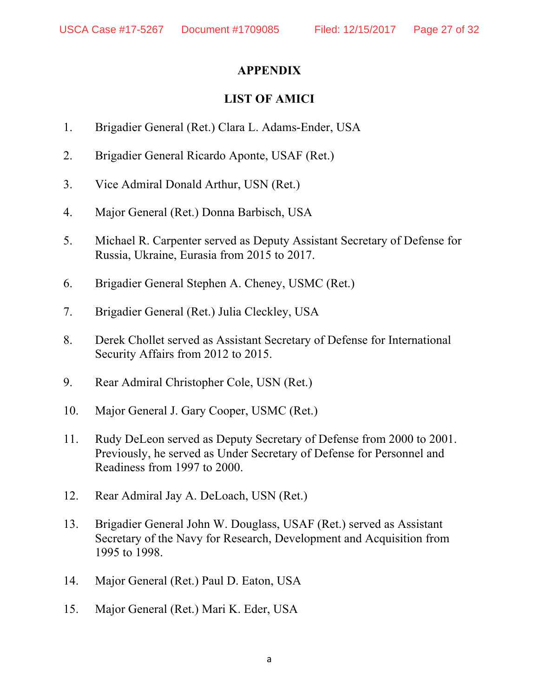# **APPENDIX**

# **LIST OF AMICI**

- 1. Brigadier General (Ret.) Clara L. Adams-Ender, USA
- 2. Brigadier General Ricardo Aponte, USAF (Ret.)
- 3. Vice Admiral Donald Arthur, USN (Ret.)
- 4. Major General (Ret.) Donna Barbisch, USA
- 5. Michael R. Carpenter served as Deputy Assistant Secretary of Defense for Russia, Ukraine, Eurasia from 2015 to 2017.
- 6. Brigadier General Stephen A. Cheney, USMC (Ret.)
- 7. Brigadier General (Ret.) Julia Cleckley, USA
- 8. Derek Chollet served as Assistant Secretary of Defense for International Security Affairs from 2012 to 2015.
- 9. Rear Admiral Christopher Cole, USN (Ret.)
- 10. Major General J. Gary Cooper, USMC (Ret.)
- 11. Rudy DeLeon served as Deputy Secretary of Defense from 2000 to 2001. Previously, he served as Under Secretary of Defense for Personnel and Readiness from 1997 to 2000.
- 12. Rear Admiral Jay A. DeLoach, USN (Ret.)
- 13. Brigadier General John W. Douglass, USAF (Ret.) served as Assistant Secretary of the Navy for Research, Development and Acquisition from 1995 to 1998.
- 14. Major General (Ret.) Paul D. Eaton, USA
- 15. Major General (Ret.) Mari K. Eder, USA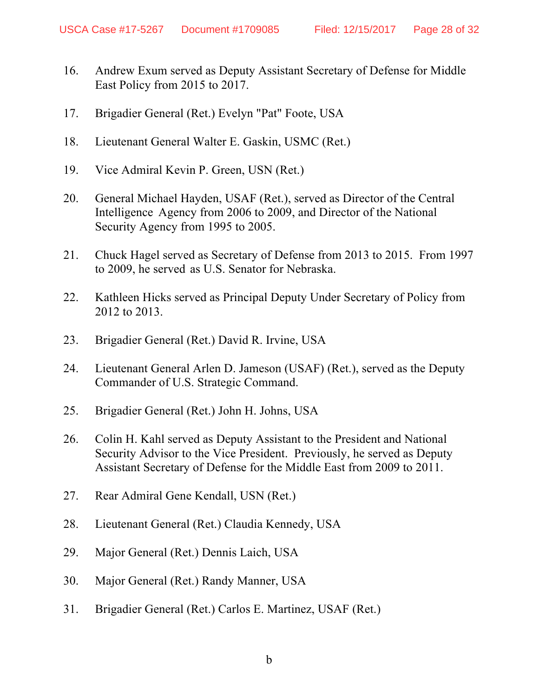- 16. Andrew Exum served as Deputy Assistant Secretary of Defense for Middle East Policy from 2015 to 2017.
- 17. Brigadier General (Ret.) Evelyn "Pat" Foote, USA
- 18. Lieutenant General Walter E. Gaskin, USMC (Ret.)
- 19. Vice Admiral Kevin P. Green, USN (Ret.)
- 20. General Michael Hayden, USAF (Ret.), served as Director of the Central Intelligence Agency from 2006 to 2009, and Director of the National Security Agency from 1995 to 2005.
- 21. Chuck Hagel served as Secretary of Defense from 2013 to 2015. From 1997 to 2009, he served as U.S. Senator for Nebraska.
- 22. Kathleen Hicks served as Principal Deputy Under Secretary of Policy from 2012 to 2013.
- 23. Brigadier General (Ret.) David R. Irvine, USA
- 24. Lieutenant General Arlen D. Jameson (USAF) (Ret.), served as the Deputy Commander of U.S. Strategic Command.
- 25. Brigadier General (Ret.) John H. Johns, USA
- 26. Colin H. Kahl served as Deputy Assistant to the President and National Security Advisor to the Vice President. Previously, he served as Deputy Assistant Secretary of Defense for the Middle East from 2009 to 2011.
- 27. Rear Admiral Gene Kendall, USN (Ret.)
- 28. Lieutenant General (Ret.) Claudia Kennedy, USA
- 29. Major General (Ret.) Dennis Laich, USA
- 30. Major General (Ret.) Randy Manner, USA
- 31. Brigadier General (Ret.) Carlos E. Martinez, USAF (Ret.)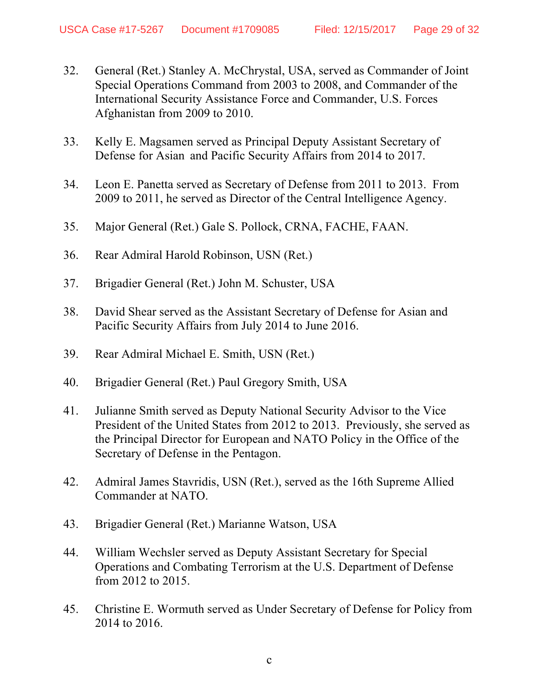- 32. General (Ret.) Stanley A. McChrystal, USA, served as Commander of Joint Special Operations Command from 2003 to 2008, and Commander of the International Security Assistance Force and Commander, U.S. Forces Afghanistan from 2009 to 2010.
- 33. Kelly E. Magsamen served as Principal Deputy Assistant Secretary of Defense for Asian and Pacific Security Affairs from 2014 to 2017.
- 34. Leon E. Panetta served as Secretary of Defense from 2011 to 2013. From 2009 to 2011, he served as Director of the Central Intelligence Agency.
- 35. Major General (Ret.) Gale S. Pollock, CRNA, FACHE, FAAN.
- 36. Rear Admiral Harold Robinson, USN (Ret.)
- 37. Brigadier General (Ret.) John M. Schuster, USA
- 38. David Shear served as the Assistant Secretary of Defense for Asian and Pacific Security Affairs from July 2014 to June 2016.
- 39. Rear Admiral Michael E. Smith, USN (Ret.)
- 40. Brigadier General (Ret.) Paul Gregory Smith, USA
- 41. Julianne Smith served as Deputy National Security Advisor to the Vice President of the United States from 2012 to 2013. Previously, she served as the Principal Director for European and NATO Policy in the Office of the Secretary of Defense in the Pentagon.
- 42. Admiral James Stavridis, USN (Ret.), served as the 16th Supreme Allied Commander at NATO.
- 43. Brigadier General (Ret.) Marianne Watson, USA
- 44. William Wechsler served as Deputy Assistant Secretary for Special Operations and Combating Terrorism at the U.S. Department of Defense from 2012 to 2015.
- 45. Christine E. Wormuth served as Under Secretary of Defense for Policy from 2014 to 2016.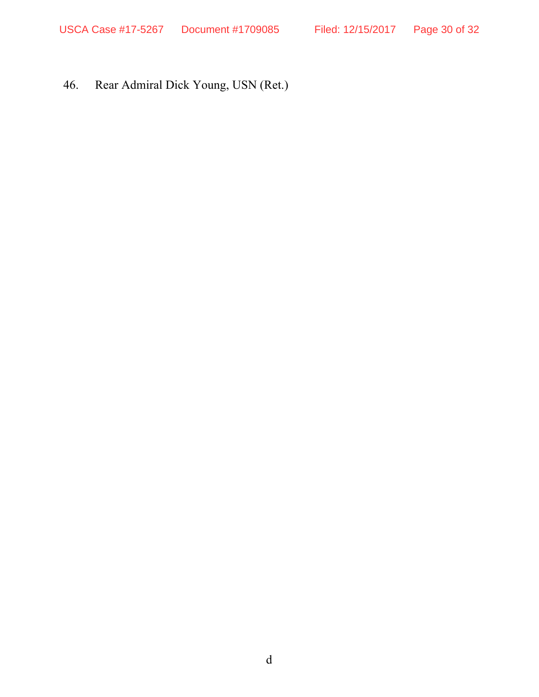46. Rear Admiral Dick Young, USN (Ret.)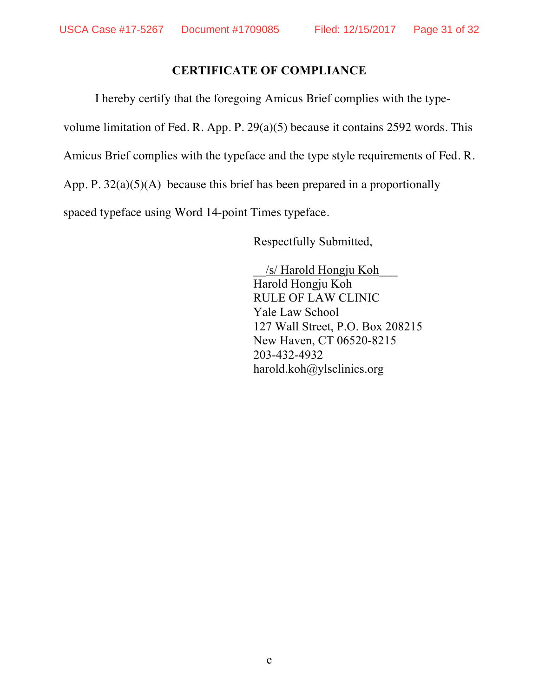# **CERTIFICATE OF COMPLIANCE**

I hereby certify that the foregoing Amicus Brief complies with the typevolume limitation of Fed. R. App. P. 29(a)(5) because it contains 2592 words. This Amicus Brief complies with the typeface and the type style requirements of Fed. R. App. P.  $32(a)(5)(A)$  because this brief has been prepared in a proportionally spaced typeface using Word 14-point Times typeface.

Respectfully Submitted,

\_\_/s/ Harold Hongju Koh\_\_\_ Harold Hongju Koh RULE OF LAW CLINIC Yale Law School 127 Wall Street, P.O. Box 208215 New Haven, CT 06520-8215 203-432-4932 harold.koh@ylsclinics.org